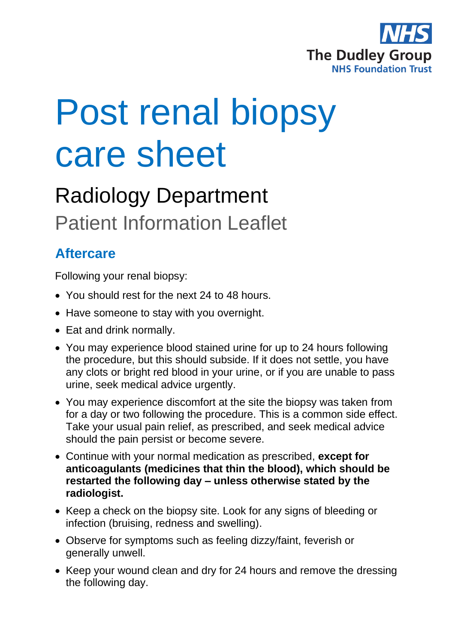

# Post renal biopsy care sheet

## Radiology Department Patient Information Leaflet

### **Aftercare**

Following your renal biopsy:

- You should rest for the next 24 to 48 hours.
- Have someone to stay with you overnight.
- Eat and drink normally.
- You may experience blood stained urine for up to 24 hours following the procedure, but this should subside. If it does not settle, you have any clots or bright red blood in your urine, or if you are unable to pass urine, seek medical advice urgently.
- You may experience discomfort at the site the biopsy was taken from for a day or two following the procedure. This is a common side effect. Take your usual pain relief, as prescribed, and seek medical advice should the pain persist or become severe.
- Continue with your normal medication as prescribed, **except for anticoagulants (medicines that thin the blood), which should be restarted the following day – unless otherwise stated by the radiologist.**
- Keep a check on the biopsy site. Look for any signs of bleeding or infection (bruising, redness and swelling).
- Observe for symptoms such as feeling dizzy/faint, feverish or generally unwell.
- Keep your wound clean and dry for 24 hours and remove the dressing the following day.